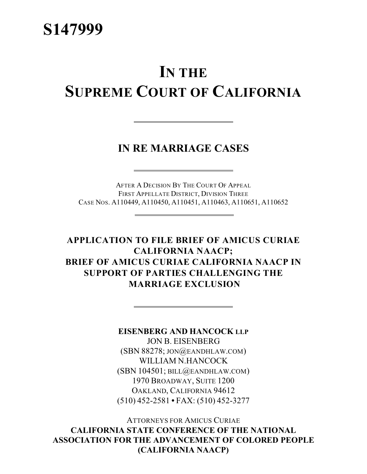# **IN THE SUPREME COURT OF CALIFORNIA**

**IN RE MARRIAGE CASES**

AFTER A DECISION BY THE COURT OF APPEAL FIRST APPELLATE DISTRICT, DIVISION THREE CASE NOS. A110449, A110450, A110451, A110463, A110651, A110652

**APPLICATION TO FILE BRIEF OF AMICUS CURIAE CALIFORNIA NAACP; BRIEF OF AMICUS CURIAE CALIFORNIA NAACP IN SUPPORT OF PARTIES CHALLENGING THE MARRIAGE EXCLUSION**

**EISENBERG AND HANCOCK LLP**

JON B. EISENBERG (SBN 88278; JON@EANDHLAW.COM) WILLIAM N.HANCOCK (SBN 104501; BILL@EANDHLAW.COM) 1970 BROADWAY, SUITE 1200 OAKLAND, CALIFORNIA 94612 (510) 452-2581 **•** FAX: (510) 452-3277

ATTORNEYS FOR AMICUS CURIAE **CALIFORNIA STATE CONFERENCE OF THE NATIONAL ASSOCIATION FOR THE ADVANCEMENT OF COLORED PEOPLE (CALIFORNIA NAACP)**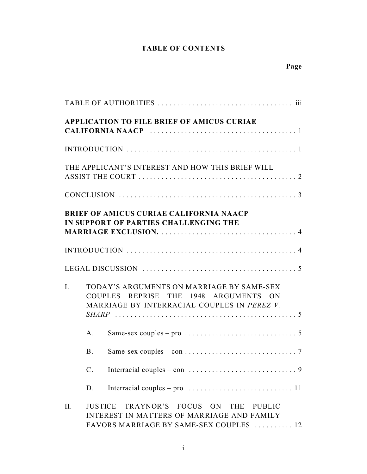# **TABLE OF CONTENTS**

|     |                | <b>APPLICATION TO FILE BRIEF OF AMICUS CURIAE</b>                                                                                 |
|-----|----------------|-----------------------------------------------------------------------------------------------------------------------------------|
|     |                |                                                                                                                                   |
|     |                | THE APPLICANT'S INTEREST AND HOW THIS BRIEF WILL                                                                                  |
|     |                |                                                                                                                                   |
|     |                | <b>BRIEF OF AMICUS CURIAE CALIFORNIA NAACP</b><br>IN SUPPORT OF PARTIES CHALLENGING THE                                           |
|     |                |                                                                                                                                   |
|     |                |                                                                                                                                   |
| I.  |                | TODAY'S ARGUMENTS ON MARRIAGE BY SAME-SEX<br>COUPLES REPRISE THE 1948 ARGUMENTS ON<br>MARRIAGE BY INTERRACIAL COUPLES IN PEREZ V. |
|     | A.             |                                                                                                                                   |
|     | <b>B.</b>      |                                                                                                                                   |
|     | $\mathbf{C}$ . |                                                                                                                                   |
|     | D.             | Interracial couples – pro $\dots\dots\dots\dots\dots\dots\dots\dots\dots$                                                         |
| II. | <b>JUSTICE</b> | TRAYNOR'S FOCUS ON<br>THE<br>PUBLIC<br>INTEREST IN MATTERS OF MARRIAGE AND FAMILY<br>FAVORS MARRIAGE BY SAME-SEX COUPLES  12      |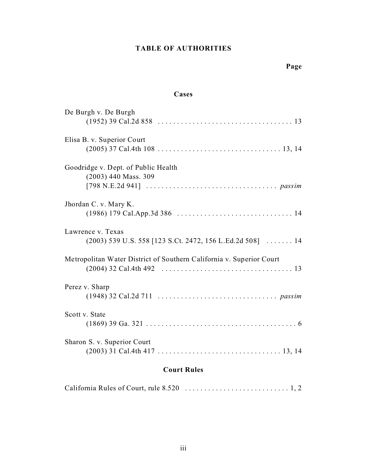### **TABLE OF AUTHORITIES**

## **Page**

### **Cases**

|                                     | <b>Court Rules</b>                                                   |
|-------------------------------------|----------------------------------------------------------------------|
|                                     |                                                                      |
| Sharon S. v. Superior Court         |                                                                      |
|                                     |                                                                      |
| Scott v. State                      |                                                                      |
| Perez v. Sharp                      |                                                                      |
|                                     |                                                                      |
|                                     | Metropolitan Water District of Southern California v. Superior Court |
| Lawrence v. Texas                   | $(2003)$ 539 U.S. 558 [123 S.Ct. 2472, 156 L.Ed.2d 508]  14          |
|                                     |                                                                      |
| Jhordan C. v. Mary K.               |                                                                      |
| $(2003)$ 440 Mass. 309              |                                                                      |
| Goodridge v. Dept. of Public Health |                                                                      |
|                                     |                                                                      |
| Elisa B. v. Superior Court          |                                                                      |
|                                     |                                                                      |
| De Burgh v. De Burgh                |                                                                      |

## California Rules of Court, rule 8.520 ........................... 1, 2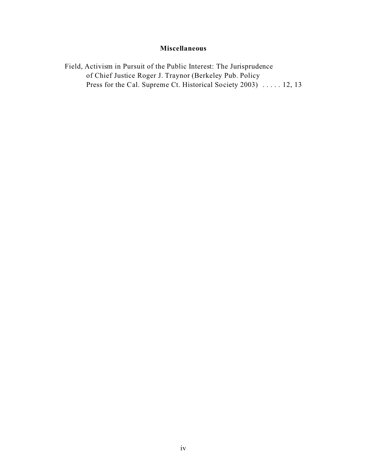### **Miscellaneous**

Field, Activism in Pursuit of the Public Interest: The Jurisprudence of Chief Justice Roger J. Traynor (Berkeley Pub. Policy Press for the Cal. Supreme Ct. Historical Society 2003) ..... 12, 13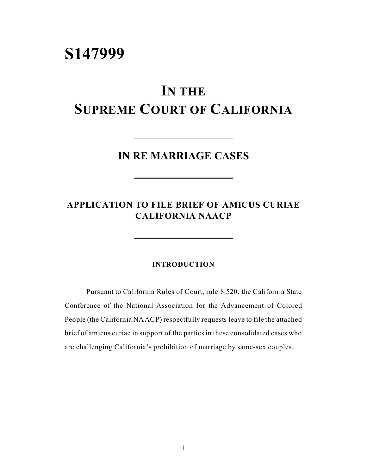# **S147999**

# **IN THE**

# **SUPREME COURT OF CALIFORNIA**

**IN RE MARRIAGE CASES**

## **APPLICATION TO FILE BRIEF OF AMICUS CURIAE CALIFORNIA NAACP**

### **INTRODUCTION**

Pursuant to California Rules of Court, rule 8.520, the California State Conference of the National Association for the Advancement of Colored People (the California NAACP) respectfully requests leave to file the attached brief of amicus curiae in support of the parties in these consolidated cases who are challenging California's prohibition of marriage by same-sex couples.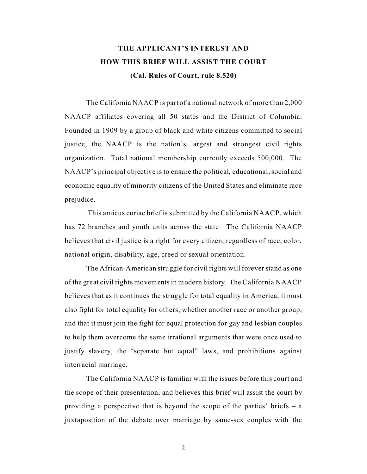# **THE APPLICANT'S INTEREST AND HOW THIS BRIEF WILL ASSIST THE COURT (Cal. Rules of Court, rule 8.520)**

The California NAACP is part of a national network of more than 2,000 NAACP affiliates covering all 50 states and the District of Columbia. Founded in 1909 by a group of black and white citizens committed to social justice, the NAACP is the nation's largest and strongest civil rights organization. Total national membership currently exceeds 500,000. The NAACP's principal objective is to ensure the political, educational, social and economic equality of minority citizens of the United States and eliminate race prejudice.

 This amicus curiae brief is submitted by the California NAACP, which has 72 branches and youth units across the state. The California NAACP believes that civil justice is a right for every citizen, regardless of race, color, national origin, disability, age, creed or sexual orientation.

The African-American struggle for civil rights will forever stand as one of the great civil rights movements in modern history. The California NAACP believes that as it continues the struggle for total equality in America, it must also fight for total equality for others, whether another race or another group, and that it must join the fight for equal protection for gay and lesbian couples to help them overcome the same irrational arguments that were once used to justify slavery, the "separate but equal" laws, and prohibitions against interracial marriage.

The California NAACP is familiar with the issues before this court and the scope of their presentation, and believes this brief will assist the court by providing a perspective that is beyond the scope of the parties' briefs  $-$  a juxtaposition of the debate over marriage by same-sex couples with the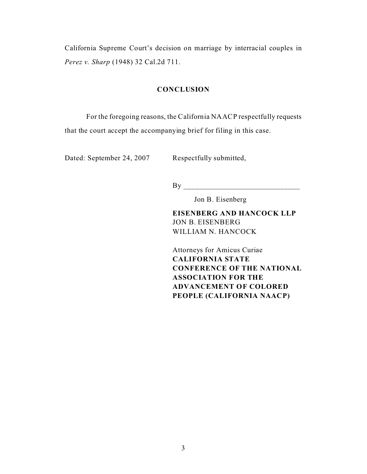California Supreme Court's decision on marriage by interracial couples in *Perez v. Sharp* (1948) 32 Cal.2d 711.

### **CONCLUSION**

For the foregoing reasons, the California NAACP respectfully requests that the court accept the accompanying brief for filing in this case.

Dated: September 24, 2007 Respectfully submitted,

By \_\_\_\_\_\_\_\_\_\_\_\_\_\_\_\_\_\_\_\_\_\_\_\_\_\_\_\_\_\_

Jon B. Eisenberg

**EISENBERG AND HANCOCK LLP** JON B. EISENBERG WILLIAM N. HANCOCK

Attorneys for Amicus Curiae **CALIFORNIA STATE CONFERENCE OF THE NATIONAL ASSOCIATION FOR THE ADVANCEMENT OF COLORED PEOPLE (CALIFORNIA NAACP)**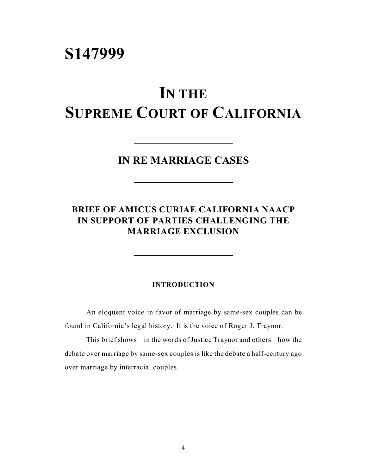# **S147999**

# **IN THE SUPREME COURT OF CALIFORNIA**

**IN RE MARRIAGE CASES**

## **BRIEF OF AMICUS CURIAE CALIFORNIA NAACP IN SUPPORT OF PARTIES CHALLENGING THE MARRIAGE EXCLUSION**

### **INTRODUCTION**

An eloquent voice in favor of marriage by same-sex couples can be found in California's legal history. It is the voice of Roger J. Traynor.

This brief shows – in the words of Justice Traynor and others – how the debate over marriage by same-sex couples is like the debate a half-century ago over marriage by interracial couples.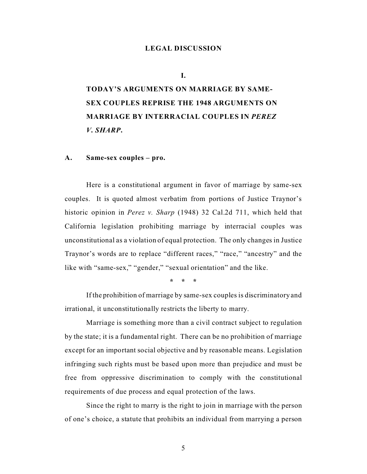#### **LEGAL DISCUSSION**

**I.**

**TODAY'S ARGUMENTS ON MARRIAGE BY SAME-SEX COUPLES REPRISE THE 1948 ARGUMENTS ON MARRIAGE BY INTERRACIAL COUPLES IN** *PEREZ V. SHARP***.**

### **A. Same-sex couples – pro.**

Here is a constitutional argument in favor of marriage by same-sex couples. It is quoted almost verbatim from portions of Justice Traynor's historic opinion in *Perez v. Sharp* (1948) 32 Cal.2d 711, which held that California legislation prohibiting marriage by interracial couples was unconstitutional as a violation of equal protection. The only changes in Justice Traynor's words are to replace "different races," "race," "ancestry" and the like with "same-sex," "gender," "sexual orientation" and the like.

**\* \* \***

If the prohibition of marriage by same-sex couples is discriminatory and irrational, it unconstitutionally restricts the liberty to marry.

Marriage is something more than a civil contract subject to regulation by the state; it is a fundamental right. There can be no prohibition of marriage except for an important social objective and by reasonable means. Legislation infringing such rights must be based upon more than prejudice and must be free from oppressive discrimination to comply with the constitutional requirements of due process and equal protection of the laws.

Since the right to marry is the right to join in marriage with the person of one's choice, a statute that prohibits an individual from marrying a person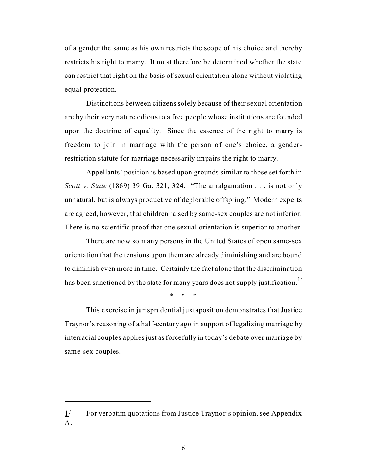of a gender the same as his own restricts the scope of his choice and thereby restricts his right to marry. It must therefore be determined whether the state can restrict that right on the basis of sexual orientation alone without violating equal protection.

Distinctions between citizens solely because of their sexual orientation are by their very nature odious to a free people whose institutions are founded upon the doctrine of equality. Since the essence of the right to marry is freedom to join in marriage with the person of one's choice, a genderrestriction statute for marriage necessarily impairs the right to marry.

Appellants' position is based upon grounds similar to those set forth in *Scott v. State* (1869) 39 Ga. 321, 324: "The amalgamation . . . is not only unnatural, but is always productive of deplorable offspring." Modern experts are agreed, however, that children raised by same-sex couples are not inferior. There is no scientific proof that one sexual orientation is superior to another.

There are now so many persons in the United States of open same-sex orientation that the tensions upon them are already diminishing and are bound to diminish even more in time. Certainly the fact alone that the discrimination has been sanctioned by the state for many years does not supply justification.<sup>1/</sup>

\* \* \*

This exercise in jurisprudential juxtaposition demonstrates that Justice Traynor's reasoning of a half-century ago in support of legalizing marriage by interracial couples applies just as forcefully in today's debate over marriage by same-sex couples.

 $1/$  For verbatim quotations from Justice Traynor's opinion, see Appendix  $A<sub>1</sub>$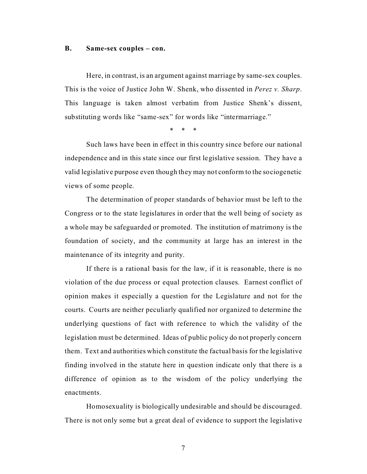### **B. Same-sex couples – con.**

Here, in contrast, is an argument against marriage by same-sex couples. This is the voice of Justice John W. Shenk, who dissented in *Perez v. Sharp*. This language is taken almost verbatim from Justice Shenk's dissent, substituting words like "same-sex" for words like "intermarriage."

\* \* \*

Such laws have been in effect in this country since before our national independence and in this state since our first legislative session. They have a valid legislative purpose even though they may not conform to the sociogenetic views of some people.

The determination of proper standards of behavior must be left to the Congress or to the state legislatures in order that the well being of society as a whole may be safeguarded or promoted. The institution of matrimony is the foundation of society, and the community at large has an interest in the maintenance of its integrity and purity.

If there is a rational basis for the law, if it is reasonable, there is no violation of the due process or equal protection clauses. Earnest conflict of opinion makes it especially a question for the Legislature and not for the courts. Courts are neither peculiarly qualified nor organized to determine the underlying questions of fact with reference to which the validity of the legislation must be determined. Ideas of public policy do not properly concern them. Text and authorities which constitute the factual basis for the legislative finding involved in the statute here in question indicate only that there is a difference of opinion as to the wisdom of the policy underlying the enactments.

Homosexuality is biologically undesirable and should be discouraged. There is not only some but a great deal of evidence to support the legislative

7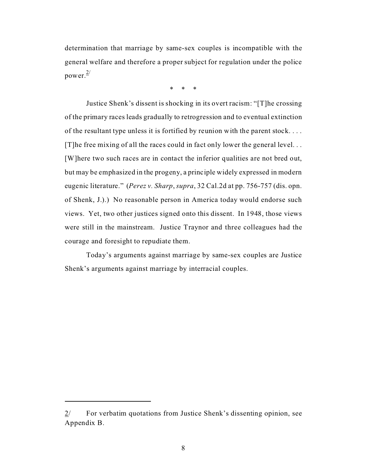determination that marriage by same-sex couples is incompatible with the general welfare and therefore a proper subject for regulation under the police power. 2/

\* \* \*

Justice Shenk's dissent is shocking in its overt racism: "[T]he crossing of the primary races leads gradually to retrogression and to eventual extinction of the resultant type unless it is fortified by reunion with the parent stock. . . . [T]he free mixing of all the races could in fact only lower the general level. . . [W]here two such races are in contact the inferior qualities are not bred out, but may be emphasized in the progeny, a principle widely expressed in modern eugenic literature." (*Perez v. Sharp*, *supra*, 32 Cal.2d at pp. 756-757 (dis. opn. of Shenk, J.).) No reasonable person in America today would endorse such views. Yet, two other justices signed onto this dissent. In 1948, those views were still in the mainstream. Justice Traynor and three colleagues had the courage and foresight to repudiate them.

Today's arguments against marriage by same-sex couples are Justice Shenk's arguments against marriage by interracial couples.

<sup>2/</sup> For verbatim quotations from Justice Shenk's dissenting opinion, see Appendix B.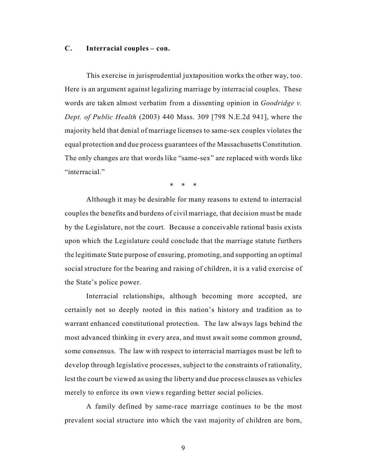### **C. Interracial couples – con.**

This exercise in jurisprudential juxtaposition works the other way, too. Here is an argument against legalizing marriage by interracial couples. These words are taken almost verbatim from a dissenting opinion in *Goodridge v. Dept. of Public Health* (2003) 440 Mass. 309 [798 N.E.2d 941], where the majority held that denial of marriage licenses to same-sex couples violates the equal protection and due process guarantees of the Massachusetts Constitution. The only changes are that words like "same-sex" are replaced with words like "interracial"

\* \* \*

Although it may be desirable for many reasons to extend to interracial couples the benefits and burdens of civil marriage, that decision must be made by the Legislature, not the court. Because a conceivable rational basis exists upon which the Legislature could conclude that the marriage statute furthers the legitimate State purpose of ensuring, promoting, and supporting an optimal social structure for the bearing and raising of children, it is a valid exercise of the State's police power.

Interracial relationships, although becoming more accepted, are certainly not so deeply rooted in this nation's history and tradition as to warrant enhanced constitutional protection. The law always lags behind the most advanced thinking in every area, and must await some common ground, some consensus. The law with respect to interracial marriages must be left to develop through legislative processes, subject to the constraints of rationality, lest the court be viewed as using the liberty and due process clauses as vehicles merely to enforce its own views regarding better social policies.

A family defined by same-race marriage continues to be the most prevalent social structure into which the vast majority of children are born,

9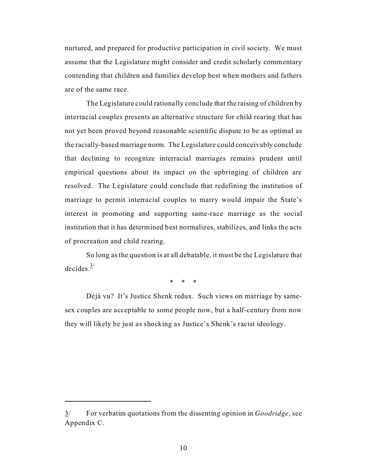nurtured, and prepared for productive participation in civil society. We must assume that the Legislature might consider and credit scholarly commentary contending that children and families develop best when mothers and fathers are of the same race.

The Legislature could rationally conclude that the raising of children by interracial couples presents an alternative structure for child rearing that has not yet been proved beyond reasonable scientific dispute to be as optimal as the racially-based marriage norm. The Legislature could conceivably conclude that declining to recognize interracial marriages remains prudent until empirical questions about its impact on the upbringing of children are resolved. The Legislature could conclude that redefining the institution of marriage to permit interracial couples to marry would impair the State's interest in promoting and supporting same-race marriage as the social institution that it has determined best normalizes, stabilizes, and links the acts of procreation and child rearing.

So long as the question is at all debatable, it must be the Legislature that decides. $\frac{3}{2}$ 

\* \* \*

Déjà vu? It's Justice Shenk redux. Such views on marriage by samesex couples are acceptable to some people now, but a half-century from now they will likely be just as shocking as Justice's Shenk's racist ideology.

<sup>3/</sup> For verbatim quotations from the dissenting opinion in *Goodridge*, see Appendix C.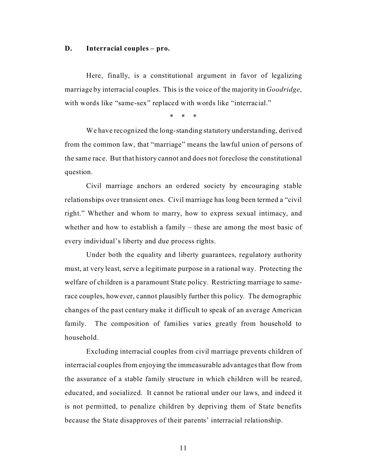### **D. Interracial couples – pro.**

Here, finally, is a constitutional argument in favor of legalizing marriage by interracial couples. This is the voice of the majority in *Goodridge*, with words like "same-sex" replaced with words like "interracial."

\* \* \*

We have recognized the long-standing statutory understanding, derived from the common law, that "marriage" means the lawful union of persons of the same race. But that history cannot and does not foreclose the constitutional question.

Civil marriage anchors an ordered society by encouraging stable relationships over transient ones. Civil marriage has long been termed a "civil right." Whether and whom to marry, how to express sexual intimacy, and whether and how to establish a family – these are among the most basic of every individual's liberty and due process rights.

Under both the equality and liberty guarantees, regulatory authority must, at very least, serve a legitimate purpose in a rational way. Protecting the welfare of children is a paramount State policy. Restricting marriage to samerace couples, however, cannot plausibly further this policy. The demographic changes of the past century make it difficult to speak of an average American family. The composition of families varies greatly from household to household.

Excluding interracial couples from civil marriage prevents children of interracial couples from enjoying the immeasurable advantages that flow from the assurance of a stable family structure in which children will be reared, educated, and socialized. It cannot be rational under our laws, and indeed it is not permitted, to penalize children by depriving them of State benefits because the State disapproves of their parents' interracial relationship.

11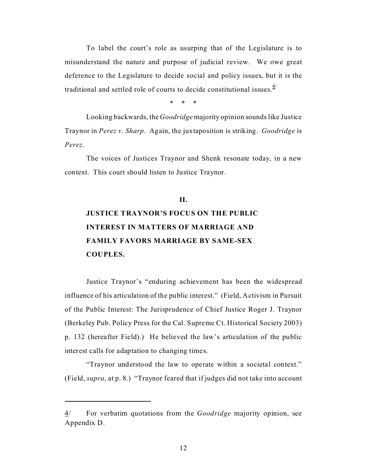To label the court's role as usurping that of the Legislature is to misunderstand the nature and purpose of judicial review. We owe great deference to the Legislature to decide social and policy issues, but it is the traditional and settled role of courts to decide constitutional issues. $4/2$ 

\* \* \*

Looking backwards, the *Goodridge* majority opinion sounds like Justice Traynor in *Perez v. Sharp*. Again, the juxtaposition is striking. *Goodridge* is *Perez*.

The voices of Justices Traynor and Shenk resonate today, in a new context. This court should listen to Justice Traynor.

# **II. JUSTICE TRAYNOR'S FOCUS ON THE PUBLIC INTEREST IN MATTERS OF MARRIAGE AND FAMILY FAVORS MARRIAGE BY SAME-SEX COUPLES.**

Justice Traynor's "enduring achievement has been the widespread influence of his articulation of the public interest." (Field, Activism in Pursuit of the Public Interest: The Jurisprudence of Chief Justice Roger J. Traynor (Berkeley Pub. Policy Press for the Cal. Supreme Ct. Historical Society 2003) p. 132 (hereafter Field).) He believed the law's articulation of the public interest calls for adaptation to changing times.

"Traynor understood the law to operate within a societal context." (Field, *supra*, at p. 8.) "Traynor feared that if judges did not take into account

<sup>4/</sup> For verbatim quotations from the *Goodridge* majority opinion, see Appendix D.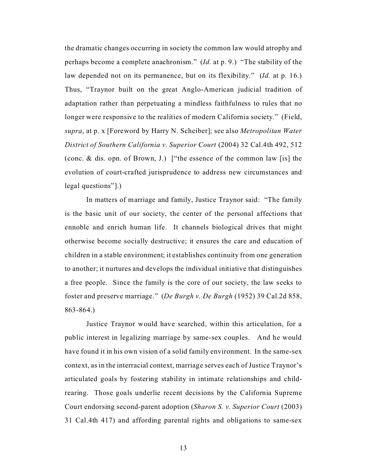the dramatic changes occurring in society the common law would atrophy and perhaps become a complete anachronism." (*Id.* at p. 9.) "The stability of the law depended not on its permanence, but on its flexibility." (*Id.* at p. 16.) Thus, "Traynor built on the great Anglo-American judicial tradition of adaptation rather than perpetuating a mindless faithfulness to rules that no longer were responsive to the realities of modern California society." (Field, *supra*, at p. x [Foreword by Harry N. Scheiber]; see also *Metropolitan Water District of Southern California v. Superior Court* (2004) 32 Cal.4th 492, 512 (conc. & dis. opn. of Brown, J.) ["the essence of the common law [is] the evolution of court-crafted jurisprudence to address new circumstances and legal questions"].)

In matters of marriage and family, Justice Traynor said: "The family is the basic unit of our society, the center of the personal affections that ennoble and enrich human life. It channels biological drives that might otherwise become socially destructive; it ensures the care and education of children in a stable environment; it establishes continuity from one generation to another; it nurtures and develops the individual initiative that distinguishes a free people. Since the family is the core of our society, the law seeks to foster and preserve marriage." (*De Burgh v. De Burgh* (1952) 39 Cal.2d 858, 863-864.)

Justice Traynor would have searched, within this articulation, for a public interest in legalizing marriage by same-sex couples. And he would have found it in his own vision of a solid family environment. In the same-sex context, as in the interracial context, marriage serves each of Justice Traynor's articulated goals by fostering stability in intimate relationships and childrearing. Those goals underlie recent decisions by the California Supreme Court endorsing second-parent adoption (*Sharon S. v. Superior Court* (2003) 31 Cal.4th 417) and affording parental rights and obligations to same-sex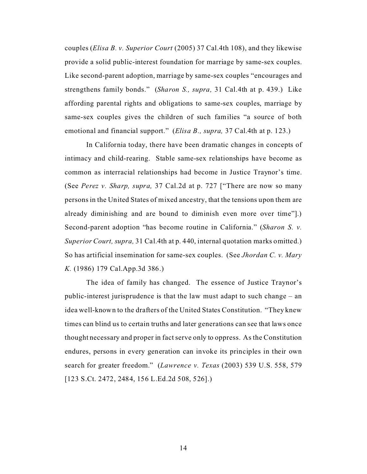couples (*Elisa B. v. Superior Court* (2005) 37 Cal.4th 108), and they likewise provide a solid public-interest foundation for marriage by same-sex couples. Like second-parent adoption, marriage by same-sex couples "encourages and strengthens family bonds." (*Sharon S., supra,* 31 Cal.4th at p. 439.) Like affording parental rights and obligations to same-sex couples, marriage by same-sex couples gives the children of such families "a source of both emotional and financial support." (*Elisa B., supra,* 37 Cal.4th at p. 123.)

In California today, there have been dramatic changes in concepts of intimacy and child-rearing. Stable same-sex relationships have become as common as interracial relationships had become in Justice Traynor's time. (See *Perez v. Sharp, supra,* 37 Cal.2d at p. 727 ["There are now so many persons in the United States of mixed ancestry, that the tensions upon them are already diminishing and are bound to diminish even more over time"].) Second-parent adoption "has become routine in California." (*Sharon S. v. Superior Court, supra,* 31 Cal.4th at p. 440, internal quotation marks omitted.) So has artificial insemination for same-sex couples. (See *Jhordan C. v. Mary K.* (1986) 179 Cal.App.3d 386.)

The idea of family has changed. The essence of Justice Traynor's public-interest jurisprudence is that the law must adapt to such change – an idea well-known to the drafters of the United States Constitution. "They knew times can blind us to certain truths and later generations can see that laws once thought necessary and proper in fact serve only to oppress. As the Constitution endures, persons in every generation can invoke its principles in their own search for greater freedom." (*Lawrence v. Texas* (2003) 539 U.S. 558, 579 [123 S.Ct. 2472, 2484, 156 L.Ed.2d 508, 526].)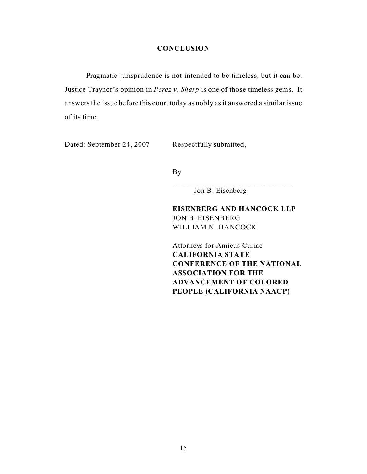### **CONCLUSION**

Pragmatic jurisprudence is not intended to be timeless, but it can be. Justice Traynor's opinion in *Perez v. Sharp* is one of those timeless gems. It answers the issue before this court today as nobly as it answered a similar issue of its time.

Dated: September 24, 2007 Respectfully submitted,

By

Jon B. Eisenberg

### **EISENBERG AND HANCOCK LLP** JON B. EISENBERG WILLIAM N. HANCOCK

\_\_\_\_\_\_\_\_\_\_\_\_\_\_\_\_\_\_\_\_\_\_\_\_\_\_\_\_\_\_\_

Attorneys for Amicus Curiae **CALIFORNIA STATE CONFERENCE OF THE NATIONAL ASSOCIATION FOR THE ADVANCEMENT OF COLORED PEOPLE (CALIFORNIA NAACP)**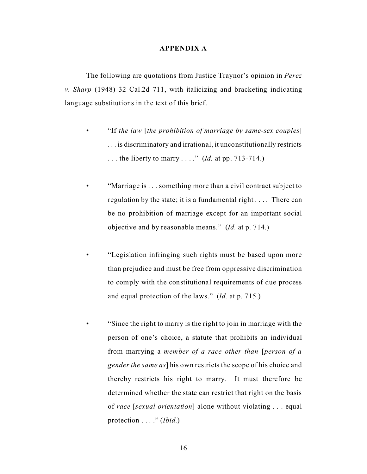#### **APPENDIX A**

The following are quotations from Justice Traynor's opinion in *Perez v. Sharp* (1948) 32 Cal.2d 711, with italicizing and bracketing indicating language substitutions in the text of this brief.

- "If *the law* [*the prohibition of marriage by same-sex couples*] . . . is discriminatory and irrational, it unconstitutionally restricts . . . the liberty to marry . . . ." (*Id.* at pp. 713-714.)
- "Marriage is . . . something more than a civil contract subject to regulation by the state; it is a fundamental right . . . . There can be no prohibition of marriage except for an important social objective and by reasonable means." (*Id.* at p. 714.)
- "Legislation infringing such rights must be based upon more than prejudice and must be free from oppressive discrimination to comply with the constitutional requirements of due process and equal protection of the laws." (*Id.* at p. 715.)
- "Since the right to marry is the right to join in marriage with the person of one's choice, a statute that prohibits an individual from marrying a *member of a race other than* [*person of a gender the same as*] his own restricts the scope of his choice and thereby restricts his right to marry. It must therefore be determined whether the state can restrict that right on the basis of *race* [*sexual orientation*] alone without violating . . . equal protection . . . ." (*Ibid.*)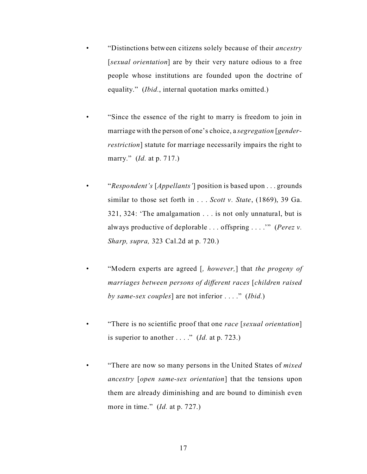- "Distinctions between citizens solely because of their *ancestry* [*sexual orientation*] are by their very nature odious to a free people whose institutions are founded upon the doctrine of equality." *(Ibid.*, internal quotation marks omitted.)
- "Since the essence of the right to marry is freedom to join in marriage with the person of one's choice, a *segregation* [*genderrestriction*] statute for marriage necessarily impairs the right to marry." (*Id.* at p. 717.)
- "*Respondent's* [*Appellants'*] position is based upon . . . grounds similar to those set forth in . . . *Scott v. State*, (1869), 39 Ga. 321, 324: 'The amalgamation . . . is not only unnatural, but is always productive of deplorable . . . offspring . . . .'" (*Perez v. Sharp, supra,* 323 Cal.2d at p. 720.)
- "Modern experts are agreed [*, however,*] that *the progeny of marriages between persons of different races* [*children raised by same-sex couples*] are not inferior . . . ." (*Ibid.*)
- "There is no scientific proof that one *race* [*sexual orientation*] is superior to another  $\dots$  ." (*Id.* at p. 723.)
- "There are now so many persons in the United States of *mixed ancestry* [*open same-sex orientation*] that the tensions upon them are already diminishing and are bound to diminish even more in time." (*Id.* at p. 727.)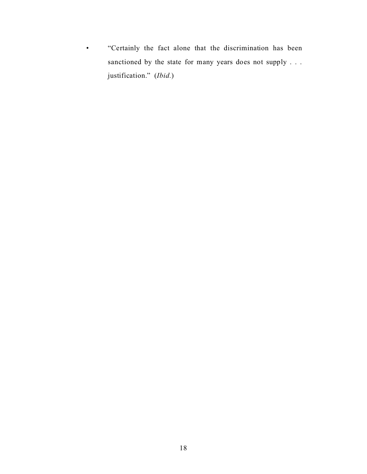• "Certainly the fact alone that the discrimination has been sanctioned by the state for many years does not supply . . . justification." (*Ibid.*)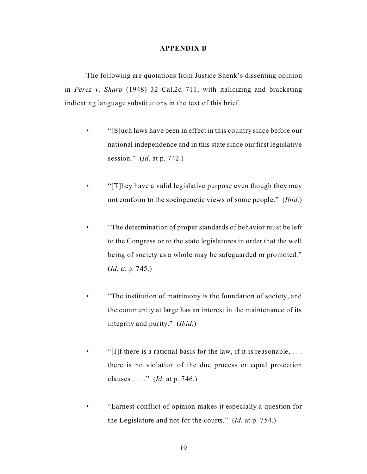### **APPENDIX B**

The following are quotations from Justice Shenk's dissenting opinion in *Perez v. Sharp* (1948) 32 Cal.2d 711, with italicizing and bracketing indicating language substitutions in the text of this brief.

- "[S]uch laws have been in effect in this country since before our national independence and in this state since our first legislative session." (*Id.* at p. 742.)
- "[T]hey have a valid legislative purpose even though they may not conform to the sociogenetic views of some people." (*Ibid.*)
	- "The determination of proper standards of behavior must be left to the Congress or to the state legislatures in order that the well being of society as a whole may be safeguarded or promoted." (*Id.* at p. 745.)
- "The institution of matrimony is the foundation of society, and the community at large has an interest in the maintenance of its integrity and purity." (*Ibid.*)
- "[I]f there is a rational basis for the law, if it is reasonable,  $\dots$ there is no violation of the due process or equal protection clauses . . . ." (*Id.* at p. 746.)
- "Earnest conflict of opinion makes it especially a question for the Legislature and not for the courts." (*Id.* at p. 754.)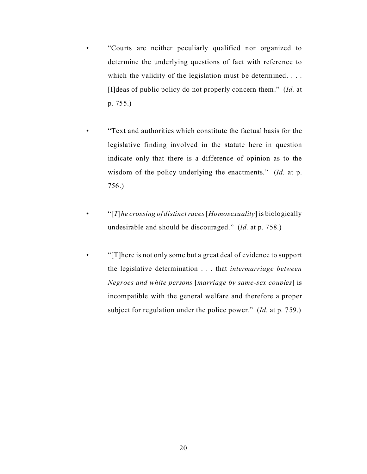- "Courts are neither peculiarly qualified nor organized to determine the underlying questions of fact with reference to which the validity of the legislation must be determined. . . . [I]deas of public policy do not properly concern them." (*Id.* at p. 755.)
- "Text and authorities which constitute the factual basis for the legislative finding involved in the statute here in question indicate only that there is a difference of opinion as to the wisdom of the policy underlying the enactments." (*Id.* at p. 756.)
- "[*T*]*he crossing of distinct races* [*Homosexuality*] is biologically undesirable and should be discouraged." (*Id.* at p. 758.)
- "[T]here is not only some but a great deal of evidence to support the legislative determination . . . that *intermarriage between Negroes and white persons* [*marriage by same-sex couples*] is incompatible with the general welfare and therefore a proper subject for regulation under the police power." (*Id.* at p. 759.)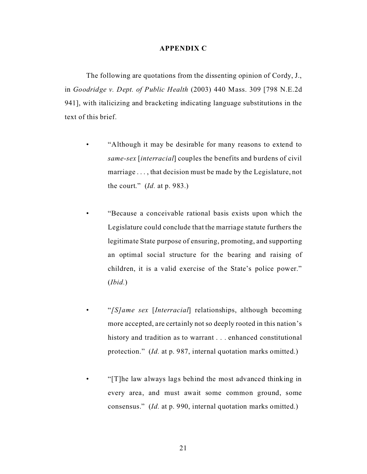### **APPENDIX C**

The following are quotations from the dissenting opinion of Cordy, J., in *Goodridge v. Dept. of Public Health* (2003) 440 Mass. 309 [798 N.E.2d 941], with italicizing and bracketing indicating language substitutions in the text of this brief.

- "Although it may be desirable for many reasons to extend to *same-sex* [*interracial*] couples the benefits and burdens of civil marriage . . . , that decision must be made by the Legislature, not the court." (*Id.* at p. 983.)
- "Because a conceivable rational basis exists upon which the Legislature could conclude that the marriage statute furthers the legitimate State purpose of ensuring, promoting, and supporting an optimal social structure for the bearing and raising of children, it is a valid exercise of the State's police power." (*Ibid.*)
	- "*[S]ame sex* [*Interracial*] relationships, although becoming more accepted, are certainly not so deeply rooted in this nation's history and tradition as to warrant . . . enhanced constitutional protection." (*Id.* at p. 987, internal quotation marks omitted.)
- "[T]he law always lags behind the most advanced thinking in every area, and must await some common ground, some consensus." (*Id.* at p. 990, internal quotation marks omitted.)

21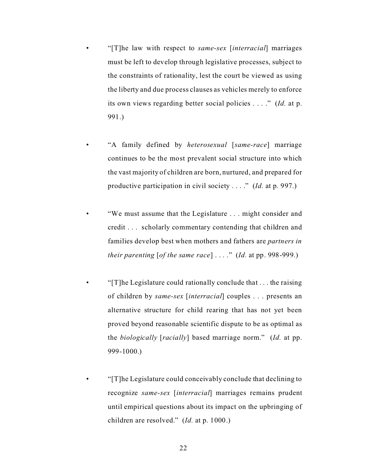- "[T]he law with respect to *same-sex* [*interracial*] marriages must be left to develop through legislative processes, subject to the constraints of rationality, lest the court be viewed as using the liberty and due process clauses as vehicles merely to enforce its own views regarding better social policies . . . ." (*Id.* at p. 991.)
- "A family defined by *heterosexual* [*same-race*] marriage continues to be the most prevalent social structure into which the vast majority of children are born, nurtured, and prepared for productive participation in civil society . . . ." (*Id.* at p. 997.)
- "We must assume that the Legislature . . . might consider and credit . . . scholarly commentary contending that children and families develop best when mothers and fathers are *partners in their parenting* [*of the same race*] . . . ." (*Id.* at pp. 998-999.)
- " $[T]$ he Legislature could rationally conclude that ... the raising of children by *same-sex* [*interracial*] couples . . . presents an alternative structure for child rearing that has not yet been proved beyond reasonable scientific dispute to be as optimal as the *biologically* [*racially*] based marriage norm." (*Id.* at pp. 999-1000.)
	- "[T]he Legislature could conceivably conclude that declining to recognize *same-sex* [*interracial*] marriages remains prudent until empirical questions about its impact on the upbringing of children are resolved." (*Id.* at p. 1000.)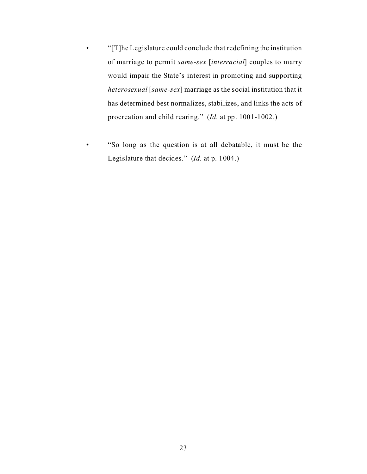- "[T]he Legislature could conclude that redefining the institution of marriage to permit *same-sex* [*interracial*] couples to marry would impair the State's interest in promoting and supporting *heterosexual* [*same-sex*] marriage as the social institution that it has determined best normalizes, stabilizes, and links the acts of procreation and child rearing." (*Id.* at pp. 1001-1002.)
- "So long as the question is at all debatable, it must be the Legislature that decides." (*Id.* at p. 1004.)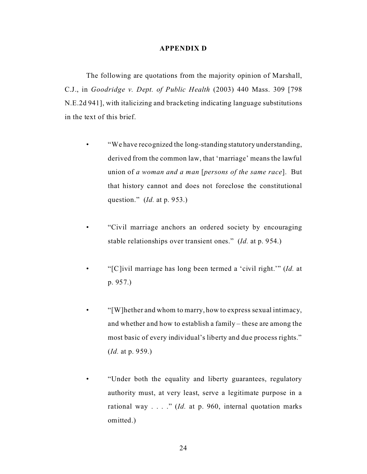### **APPENDIX D**

The following are quotations from the majority opinion of Marshall, C.J., in *Goodridge v. Dept. of Public Health* (2003) 440 Mass. 309 [798 N.E.2d 941], with italicizing and bracketing indicating language substitutions in the text of this brief.

- "We have recognized the long-standing statutory understanding, derived from the common law, that 'marriage' means the lawful union of *a woman and a man* [*persons of the same race*]. But that history cannot and does not foreclose the constitutional question." (*Id.* at p. 953.)
- "Civil marriage anchors an ordered society by encouraging stable relationships over transient ones." (*Id.* at p. 954.)
- "[C]ivil marriage has long been termed a 'civil right.'" (*Id.* at p. 957.)
- "[W]hether and whom to marry, how to express sexual intimacy, and whether and how to establish a family – these are among the most basic of every individual's liberty and due process rights." (*Id.* at p. 959.)
- "Under both the equality and liberty guarantees, regulatory authority must, at very least, serve a legitimate purpose in a rational way . . . ." (*Id.* at p. 960, internal quotation marks omitted.)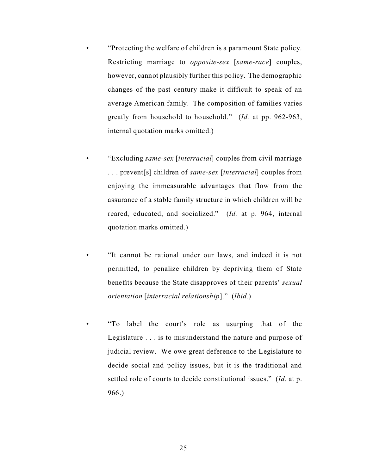- "Protecting the welfare of children is a paramount State policy. Restricting marriage to *opposite-sex* [*same-race*] couples, however, cannot plausibly further this policy. The demographic changes of the past century make it difficult to speak of an average American family. The composition of families varies greatly from household to household." (*Id.* at pp. 962-963, internal quotation marks omitted.)
- "Excluding *same-sex* [*interracial*] couples from civil marriage . . . prevent[s] children of *same-sex* [*interracial*] couples from enjoying the immeasurable advantages that flow from the assurance of a stable family structure in which children will be reared, educated, and socialized." (*Id.* at p. 964, internal quotation marks omitted.)
- "It cannot be rational under our laws, and indeed it is not permitted, to penalize children by depriving them of State benefits because the State disapproves of their parents' *sexual orientation* [*interracial relationship*]." (*Ibid.*)
- "To label the court's role as usurping that of the Legislature . . . is to misunderstand the nature and purpose of judicial review. We owe great deference to the Legislature to decide social and policy issues, but it is the traditional and settled role of courts to decide constitutional issues." (*Id.* at p. 966.)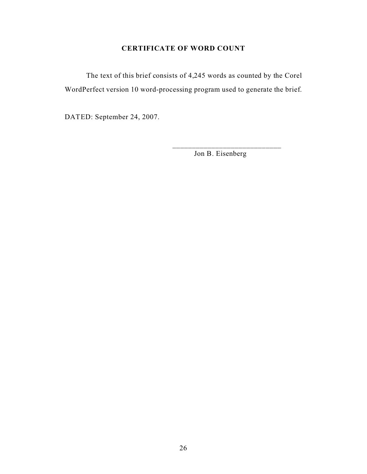### **CERTIFICATE OF WORD COUNT**

The text of this brief consists of 4,245 words as counted by the Corel WordPerfect version 10 word-processing program used to generate the brief.

DATED: September 24, 2007.

Jon B. Eisenberg

\_\_\_\_\_\_\_\_\_\_\_\_\_\_\_\_\_\_\_\_\_\_\_\_\_\_\_\_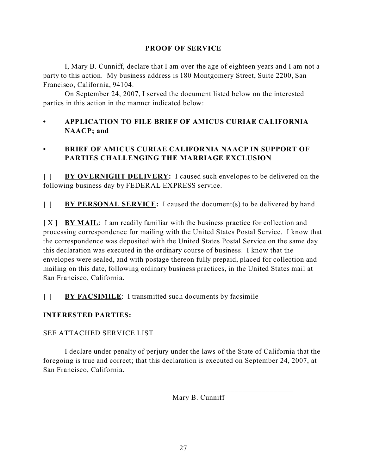### **PROOF OF SERVICE**

I, Mary B. Cunniff, declare that I am over the age of eighteen years and I am not a party to this action. My business address is 180 Montgomery Street, Suite 2200, San Francisco, California, 94104.

On September 24, 2007, I served the document listed below on the interested parties in this action in the manner indicated below:

### **• APPLICATION TO FILE BRIEF OF AMICUS CURIAE CALIFORNIA NAACP; and**

## **• BRIEF OF AMICUS CURIAE CALIFORNIA NAACP IN SUPPORT OF PARTIES CHALLENGING THE MARRIAGE EXCLUSION**

**[ ] BY OVERNIGHT DELIVERY:** I caused such envelopes to be delivered on the following business day by FEDERAL EXPRESS service.

**[ ] BY PERSONAL SERVICE:** I caused the document(s) to be delivered by hand.

**[** X **] BY MAIL**: I am readily familiar with the business practice for collection and processing correspondence for mailing with the United States Postal Service. I know that the correspondence was deposited with the United States Postal Service on the same day this declaration was executed in the ordinary course of business. I know that the envelopes were sealed, and with postage thereon fully prepaid, placed for collection and mailing on this date, following ordinary business practices, in the United States mail at San Francisco, California.

**[ ] BY FACSIMILE**: I transmitted such documents by facsimile

### **INTERESTED PARTIES:**

### SEE ATTACHED SERVICE LIST

I declare under penalty of perjury under the laws of the State of California that the foregoing is true and correct; that this declaration is executed on September 24, 2007, at San Francisco, California.

Mary B. Cunniff

\_\_\_\_\_\_\_\_\_\_\_\_\_\_\_\_\_\_\_\_\_\_\_\_\_\_\_\_\_\_\_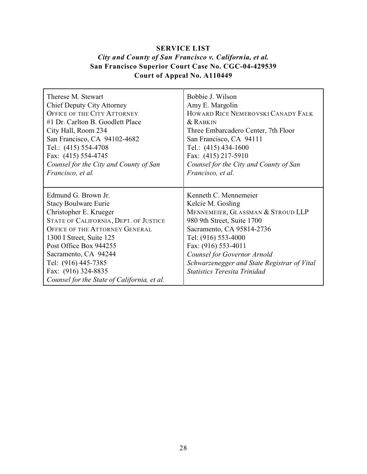## **SERVICE LIST** *City and County of San Francisco v. California, et al.* **San Francisco Superior Court Case No. CGC-04-429539 Court of Appeal No. A110449**

| Therese M Stewart                                                                                                                                                                                                                                                                                                                         | Bobbie J. Wilson                                                                                                                                                                                                                                                                                              |
|-------------------------------------------------------------------------------------------------------------------------------------------------------------------------------------------------------------------------------------------------------------------------------------------------------------------------------------------|---------------------------------------------------------------------------------------------------------------------------------------------------------------------------------------------------------------------------------------------------------------------------------------------------------------|
| <b>Chief Deputy City Attorney</b>                                                                                                                                                                                                                                                                                                         | Amy E. Margolin                                                                                                                                                                                                                                                                                               |
| <b>OFFICE OF THE CITY ATTORNEY</b>                                                                                                                                                                                                                                                                                                        | HOWARD RICE NEMEROVSKI CANADY FALK                                                                                                                                                                                                                                                                            |
| #1 Dr. Carlton B. Goodlett Place                                                                                                                                                                                                                                                                                                          | $&$ Rabkin                                                                                                                                                                                                                                                                                                    |
| City Hall, Room 234                                                                                                                                                                                                                                                                                                                       | Three Embarcadero Center, 7th Floor                                                                                                                                                                                                                                                                           |
| San Francisco, CA 94102-4682                                                                                                                                                                                                                                                                                                              | San Francisco, CA 94111                                                                                                                                                                                                                                                                                       |
| Tel.: (415) 554-4708                                                                                                                                                                                                                                                                                                                      | Tel.: (415) 434-1600                                                                                                                                                                                                                                                                                          |
| Fax: (415) 554-4745                                                                                                                                                                                                                                                                                                                       | Fax: (415) 217-5910                                                                                                                                                                                                                                                                                           |
| Counsel for the City and County of San                                                                                                                                                                                                                                                                                                    | Counsel for the City and County of San                                                                                                                                                                                                                                                                        |
| Francisco, et al.                                                                                                                                                                                                                                                                                                                         | Francisco, et al.                                                                                                                                                                                                                                                                                             |
| Edmund G. Brown Jr.<br><b>Stacy Boulware Eurie</b><br>Christopher E. Krueger<br>STATE OF CALIFORNIA, DEPT. OF JUSTICE<br><b>OFFICE OF THE ATTORNEY GENERAL</b><br>1300 I Street, Suite 125<br>Post Office Box 944255<br>Sacramento, CA 94244<br>Tel: (916) 445-7385<br>Fax: (916) 324-8835<br>Counsel for the State of California, et al. | Kenneth C. Mennemeier<br>Kelcie M. Gosling<br>MENNEMEIER, GLASSMAN & STROUD LLP<br>980 9th Street, Suite 1700<br>Sacramento, CA 95814-2736<br>Tel: (916) 553-4000<br>Fax: (916) 553-4011<br>Counsel for Governor Arnold<br>Schwarzenegger and State Registrar of Vital<br><b>Statistics Teresita Trinidad</b> |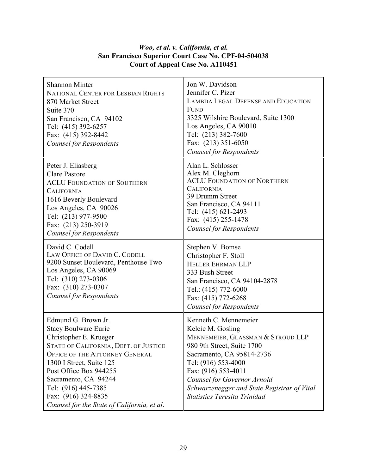## *Woo, et al. v. California, et al.* **San Francisco Superior Court Case No. CPF-04-504038 Court of Appeal Case No. A110451**

| <b>Shannon Minter</b><br>NATIONAL CENTER FOR LESBIAN RIGHTS<br>870 Market Street<br>Suite 370<br>San Francisco, CA 94102<br>Tel: (415) 392-6257<br>Fax: (415) 392-8442<br>Counsel for Respondents                                                                                                                                  | Jon W. Davidson<br>Jennifer C. Pizer<br><b>LAMBDA LEGAL DEFENSE AND EDUCATION</b><br><b>FUND</b><br>3325 Wilshire Boulevard, Suite 1300<br>Los Angeles, CA 90010<br>Tel: (213) 382-7600<br>Fax: (213) 351-6050<br><b>Counsel for Respondents</b>                                                              |
|------------------------------------------------------------------------------------------------------------------------------------------------------------------------------------------------------------------------------------------------------------------------------------------------------------------------------------|---------------------------------------------------------------------------------------------------------------------------------------------------------------------------------------------------------------------------------------------------------------------------------------------------------------|
| Peter J. Eliasberg<br><b>Clare Pastore</b><br><b>ACLU FOUNDATION OF SOUTHERN</b><br><b>CALIFORNIA</b><br>1616 Beverly Boulevard<br>Los Angeles, CA 90026<br>Tel: (213) 977-9500<br>Fax: (213) 250-3919<br><b>Counsel for Respondents</b>                                                                                           | Alan L. Schlosser<br>Alex M. Cleghorn<br><b>ACLU FOUNDATION OF NORTHERN</b><br><b>CALIFORNIA</b><br>39 Drumm Street<br>San Francisco, CA 94111<br>Tel: (415) 621-2493<br>Fax: (415) 255-1478<br><b>Counsel for Respondents</b>                                                                                |
| David C. Codell<br>LAW OFFICE OF DAVID C. CODELL<br>9200 Sunset Boulevard, Penthouse Two<br>Los Angeles, CA 90069<br>Tel: (310) 273-0306<br>Fax: (310) 273-0307<br><b>Counsel for Respondents</b>                                                                                                                                  | Stephen V. Bomse<br>Christopher F. Stoll<br>HELLER EHRMAN LLP<br>333 Bush Street<br>San Francisco, CA 94104-2878<br>Tel.: (415) 772-6000<br>Fax: (415) 772-6268<br><b>Counsel for Respondents</b>                                                                                                             |
| Edmund G. Brown Jr.<br><b>Stacy Boulware Eurie</b><br>Christopher E. Krueger<br>STATE OF CALIFORNIA, DEPT. OF JUSTICE<br>OFFICE OF THE ATTORNEY GENERAL<br>1300 I Street, Suite 125<br>Post Office Box 944255<br>Sacramento, CA 94244<br>Tel: (916) 445-7385<br>Fax: (916) 324-8835<br>Counsel for the State of California, et al. | Kenneth C. Mennemeier<br>Kelcie M. Gosling<br>MENNEMEIER, GLASSMAN & STROUD LLP<br>980 9th Street, Suite 1700<br>Sacramento, CA 95814-2736<br>Tel: (916) 553-4000<br>Fax: (916) 553-4011<br>Counsel for Governor Arnold<br>Schwarzenegger and State Registrar of Vital<br><b>Statistics Teresita Trinidad</b> |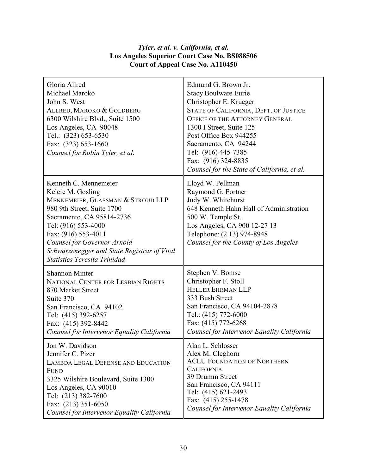### *Tyler, et al. v. California, et al.* **Los Angeles Superior Court Case No. BS088506 Court of Appeal Case No. A110450**

| Gloria Allred<br>Michael Maroko<br>John S. West<br>ALLRED, MAROKO & GOLDBERG<br>6300 Wilshire Blvd., Suite 1500<br>Los Angeles, CA 90048<br>Tel.: (323) 653-6530<br>Fax: (323) 653-1660<br>Counsel for Robin Tyler, et al.                                                                                    | Edmund G. Brown Jr.<br><b>Stacy Boulware Eurie</b><br>Christopher E. Krueger<br>STATE OF CALIFORNIA, DEPT. OF JUSTICE<br><b>OFFICE OF THE ATTORNEY GENERAL</b><br>1300 I Street, Suite 125<br>Post Office Box 944255<br>Sacramento, CA 94244<br>Tel: (916) 445-7385<br>Fax: (916) 324-8835<br>Counsel for the State of California, et al. |
|---------------------------------------------------------------------------------------------------------------------------------------------------------------------------------------------------------------------------------------------------------------------------------------------------------------|-------------------------------------------------------------------------------------------------------------------------------------------------------------------------------------------------------------------------------------------------------------------------------------------------------------------------------------------|
| Kenneth C. Mennemeier<br>Kelcie M. Gosling<br>MENNEMEIER, GLASSMAN & STROUD LLP<br>980 9th Street, Suite 1700<br>Sacramento, CA 95814-2736<br>Tel: (916) 553-4000<br>Fax: (916) 553-4011<br>Counsel for Governor Arnold<br>Schwarzenegger and State Registrar of Vital<br><b>Statistics Teresita Trinidad</b> | Lloyd W. Pellman<br>Raymond G. Fortner<br>Judy W. Whitehurst<br>648 Kenneth Hahn Hall of Administration<br>500 W. Temple St.<br>Los Angeles, CA 900 12-27 13<br>Telephone: (2 13) 974-8948<br>Counsel for the County of Los Angeles                                                                                                       |
| <b>Shannon Minter</b>                                                                                                                                                                                                                                                                                         | Stephen V. Bomse                                                                                                                                                                                                                                                                                                                          |
| NATIONAL CENTER FOR LESBIAN RIGHTS                                                                                                                                                                                                                                                                            | Christopher F. Stoll                                                                                                                                                                                                                                                                                                                      |
| 870 Market Street                                                                                                                                                                                                                                                                                             | HELLER EHRMAN LLP                                                                                                                                                                                                                                                                                                                         |
| Suite 370                                                                                                                                                                                                                                                                                                     | 333 Bush Street                                                                                                                                                                                                                                                                                                                           |
| San Francisco, CA 94102                                                                                                                                                                                                                                                                                       | San Francisco, CA 94104-2878                                                                                                                                                                                                                                                                                                              |
| Tel: (415) 392-6257                                                                                                                                                                                                                                                                                           | Tel.: (415) 772-6000                                                                                                                                                                                                                                                                                                                      |
| Fax: (415) 392-8442                                                                                                                                                                                                                                                                                           | Fax: (415) 772-6268                                                                                                                                                                                                                                                                                                                       |
| Counsel for Intervenor Equality California                                                                                                                                                                                                                                                                    | Counsel for Intervenor Equality California                                                                                                                                                                                                                                                                                                |
| Jon W. Davidson                                                                                                                                                                                                                                                                                               | Alan L. Schlosser                                                                                                                                                                                                                                                                                                                         |
| Jennifer C. Pizer                                                                                                                                                                                                                                                                                             | Alex M. Cleghorn                                                                                                                                                                                                                                                                                                                          |
| <b>LAMBDA LEGAL DEFENSE AND EDUCATION</b>                                                                                                                                                                                                                                                                     | <b>ACLU FOUNDATION OF NORTHERN</b>                                                                                                                                                                                                                                                                                                        |
| <b>FUND</b>                                                                                                                                                                                                                                                                                                   | <b>CALIFORNIA</b>                                                                                                                                                                                                                                                                                                                         |
| 3325 Wilshire Boulevard, Suite 1300                                                                                                                                                                                                                                                                           | 39 Drumm Street                                                                                                                                                                                                                                                                                                                           |
| Los Angeles, CA 90010                                                                                                                                                                                                                                                                                         | San Francisco, CA 94111                                                                                                                                                                                                                                                                                                                   |
| Tel: (213) 382-7600                                                                                                                                                                                                                                                                                           | Tel: (415) 621-2493                                                                                                                                                                                                                                                                                                                       |
| Fax: (213) 351-6050                                                                                                                                                                                                                                                                                           | Fax: (415) 255-1478                                                                                                                                                                                                                                                                                                                       |
| Counsel for Intervenor Equality California                                                                                                                                                                                                                                                                    | Counsel for Intervenor Equality California                                                                                                                                                                                                                                                                                                |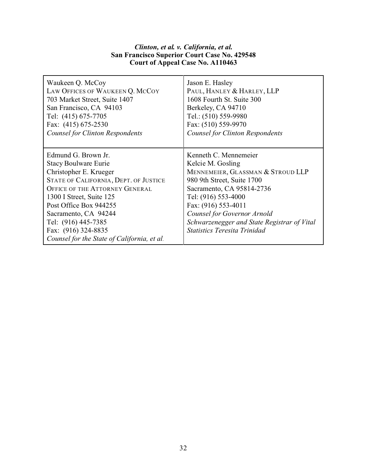### *Clinton, et al. v. California, et al.* **San Francisco Superior Court Case No. 429548 Court of Appeal Case No. A110463**

| Waukeen Q. McCoy                                                                                                                                                                                                                                                                                                                          | Jason E. Hasley                                                                                                                                                                                                                                                                                               |
|-------------------------------------------------------------------------------------------------------------------------------------------------------------------------------------------------------------------------------------------------------------------------------------------------------------------------------------------|---------------------------------------------------------------------------------------------------------------------------------------------------------------------------------------------------------------------------------------------------------------------------------------------------------------|
| LAW OFFICES OF WAUKEEN Q. MCCOY                                                                                                                                                                                                                                                                                                           | PAUL, HANLEY & HARLEY, LLP                                                                                                                                                                                                                                                                                    |
| 703 Market Street, Suite 1407                                                                                                                                                                                                                                                                                                             | 1608 Fourth St. Suite 300                                                                                                                                                                                                                                                                                     |
| San Francisco, CA 94103                                                                                                                                                                                                                                                                                                                   | Berkeley, CA 94710                                                                                                                                                                                                                                                                                            |
| Tel: (415) 675-7705                                                                                                                                                                                                                                                                                                                       | Tel.: (510) 559-9980                                                                                                                                                                                                                                                                                          |
| Fax: (415) 675-2530                                                                                                                                                                                                                                                                                                                       | Fax: (510) 559-9970                                                                                                                                                                                                                                                                                           |
| <b>Counsel for Clinton Respondents</b>                                                                                                                                                                                                                                                                                                    | <b>Counsel for Clinton Respondents</b>                                                                                                                                                                                                                                                                        |
| Edmund G. Brown Jr.<br><b>Stacy Boulware Eurie</b><br>Christopher E. Krueger<br>STATE OF CALIFORNIA, DEPT. OF JUSTICE<br><b>OFFICE OF THE ATTORNEY GENERAL</b><br>1300 I Street, Suite 125<br>Post Office Box 944255<br>Sacramento, CA 94244<br>Tel: (916) 445-7385<br>Fax: (916) 324-8835<br>Counsel for the State of California, et al. | Kenneth C. Mennemeier<br>Kelcie M. Gosling<br>MENNEMEIER, GLASSMAN & STROUD LLP<br>980 9th Street, Suite 1700<br>Sacramento, CA 95814-2736<br>Tel: (916) 553-4000<br>Fax: (916) 553-4011<br>Counsel for Governor Arnold<br>Schwarzenegger and State Registrar of Vital<br><b>Statistics Teresita Trinidad</b> |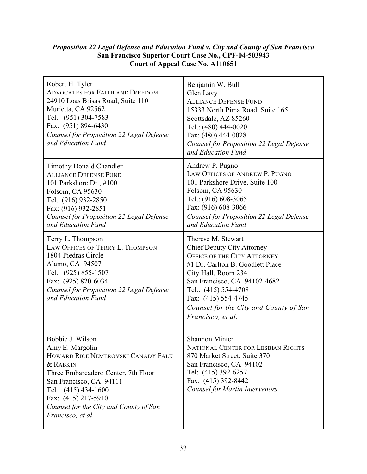### *Proposition 22 Legal Defense and Education Fund v. City and County of San Francisco* **San Francisco Superior Court Case No., CPF-04-503943 Court of Appeal Case No. A110651**

| Robert H. Tyler<br><b>ADVOCATES FOR FAITH AND FREEDOM</b><br>24910 Loas Brisas Road, Suite 110<br>Murietta, CA 92562<br>Tel.: (951) 304-7583<br>Fax: (951) 894-6430<br>Counsel for Proposition 22 Legal Defense<br>and Education Fund                                 | Benjamin W. Bull<br>Glen Lavy<br><b>ALLIANCE DEFENSE FUND</b><br>15333 North Pima Road, Suite 165<br>Scottsdale, AZ 85260<br>Tel.: (480) 444-0020<br>Fax: (480) 444-0028<br>Counsel for Proposition 22 Legal Defense<br>and Education Fund                                                             |
|-----------------------------------------------------------------------------------------------------------------------------------------------------------------------------------------------------------------------------------------------------------------------|--------------------------------------------------------------------------------------------------------------------------------------------------------------------------------------------------------------------------------------------------------------------------------------------------------|
| <b>Timothy Donald Chandler</b><br><b>ALLIANCE DEFENSE FUND</b><br>101 Parkshore Dr., #100<br>Folsom, CA 95630<br>Tel.: (916) 932-2850<br>Fax: (916) 932-2851<br>Counsel for Proposition 22 Legal Defense<br>and Education Fund                                        | Andrew P. Pugno<br>LAW OFFICES OF ANDREW P. PUGNO<br>101 Parkshore Drive, Suite 100<br>Folsom, CA 95630<br>Tel.: (916) 608-3065<br>Fax: (916) 608-3066<br>Counsel for Proposition 22 Legal Defense<br>and Education Fund                                                                               |
| Terry L. Thompson<br>LAW OFFICES OF TERRY L. THOMPSON<br>1804 Piedras Circle<br>Alamo, CA 94507<br>Tel.: (925) 855-1507<br>Fax: (925) 820-6034<br>Counsel for Proposition 22 Legal Defense<br>and Education Fund                                                      | Therese M. Stewart<br><b>Chief Deputy City Attorney</b><br><b>OFFICE OF THE CITY ATTORNEY</b><br>#1 Dr. Carlton B. Goodlett Place<br>City Hall, Room 234<br>San Francisco, CA 94102-4682<br>Tel.: (415) 554-4708<br>Fax: (415) 554-4745<br>Counsel for the City and County of San<br>Francisco, et al. |
| Bobbie J. Wilson<br>Amy E. Margolin<br>HOWARD RICE NEMEROVSKI CANADY FALK<br>& RABKIN<br>Three Embarcadero Center, 7th Floor<br>San Francisco, CA 94111<br>Tel.: (415) 434-1600<br>Fax: (415) 217-5910<br>Counsel for the City and County of San<br>Francisco, et al. | <b>Shannon Minter</b><br>NATIONAL CENTER FOR LESBIAN RIGHTS<br>870 Market Street, Suite 370<br>San Francisco, CA 94102<br>Tel: (415) 392-6257<br>Fax: (415) 392-8442<br><b>Counsel for Martin Intervenors</b>                                                                                          |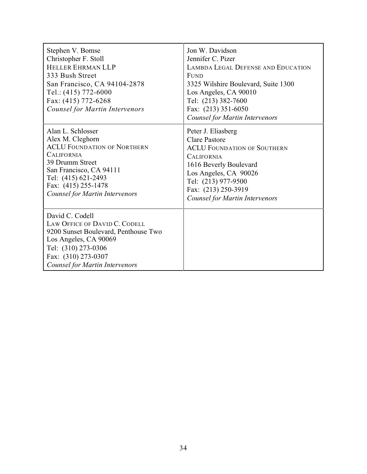| Stephen V. Bomse<br>Christopher F. Stoll<br><b>HELLER EHRMAN LLP</b><br>333 Bush Street<br>San Francisco, CA 94104-2878<br>Tel.: (415) 772-6000<br>Fax: (415) 772-6268<br><b>Counsel for Martin Intervenors</b>                       | Jon W. Davidson<br>Jennifer C. Pizer<br><b>LAMBDA LEGAL DEFENSE AND EDUCATION</b><br><b>FUND</b><br>3325 Wilshire Boulevard, Suite 1300<br>Los Angeles, CA 90010<br>Tel: (213) 382-7600<br>Fax: (213) 351-6050<br>Counsel for Martin Intervenors |
|---------------------------------------------------------------------------------------------------------------------------------------------------------------------------------------------------------------------------------------|--------------------------------------------------------------------------------------------------------------------------------------------------------------------------------------------------------------------------------------------------|
| Alan L. Schlosser<br>Alex M. Cleghorn<br><b>ACLU FOUNDATION OF NORTHERN</b><br><b>CALIFORNIA</b><br>39 Drumm Street<br>San Francisco, CA 94111<br>Tel: (415) 621-2493<br>Fax: (415) 255-1478<br><b>Counsel for Martin Intervenors</b> | Peter J. Eliasberg<br><b>Clare Pastore</b><br><b>ACLU FOUNDATION OF SOUTHERN</b><br><b>CALIFORNIA</b><br>1616 Beverly Boulevard<br>Los Angeles, CA 90026<br>Tel: (213) 977-9500<br>Fax: (213) 250-3919<br>Counsel for Martin Intervenors         |
| David C. Codell<br>LAW OFFICE OF DAVID C. CODELL<br>9200 Sunset Boulevard, Penthouse Two<br>Los Angeles, CA 90069<br>Tel: (310) 273-0306<br>Fax: (310) 273-0307<br>Counsel for Martin Intervenors                                     |                                                                                                                                                                                                                                                  |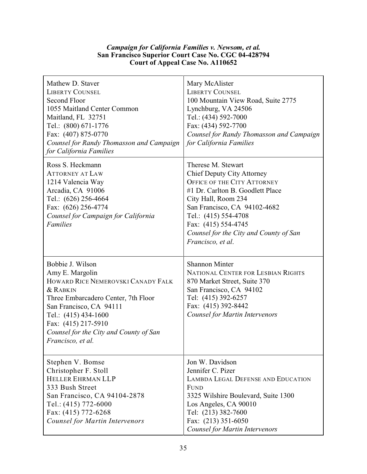### *Campaign for California Families v. Newsom, et al.* **San Francisco Superior Court Case No. CGC 04-428794 Court of Appeal Case No. A110652**

| Mathew D. Staver<br><b>LIBERTY COUNSEL</b><br>Second Floor<br>1055 Maitland Center Common<br>Maitland, FL 32751<br>Tel.: (800) 671-1776<br>Fax: (407) 875-0770<br>Counsel for Randy Thomasson and Campaign<br>for California Families                                            | Mary McAlister<br><b>LIBERTY COUNSEL</b><br>100 Mountain View Road, Suite 2775<br>Lynchburg, VA 24506<br>Tel.: (434) 592-7000<br>Fax: (434) 592-7700<br>Counsel for Randy Thomasson and Campaign<br>for California Families                                                                            |
|----------------------------------------------------------------------------------------------------------------------------------------------------------------------------------------------------------------------------------------------------------------------------------|--------------------------------------------------------------------------------------------------------------------------------------------------------------------------------------------------------------------------------------------------------------------------------------------------------|
| Ross S. Heckmann<br><b>ATTORNEY AT LAW</b><br>1214 Valencia Way<br>Arcadia, CA 91006<br>Tel.: (626) 256-4664<br>Fax: (626) 256-4774<br>Counsel for Campaign for California<br><b>Families</b>                                                                                    | Therese M. Stewart<br><b>Chief Deputy City Attorney</b><br><b>OFFICE OF THE CITY ATTORNEY</b><br>#1 Dr. Carlton B. Goodlett Place<br>City Hall, Room 234<br>San Francisco, CA 94102-4682<br>Tel.: (415) 554-4708<br>Fax: (415) 554-4745<br>Counsel for the City and County of San<br>Francisco, et al. |
| Bobbie J. Wilson<br>Amy E. Margolin<br>HOWARD RICE NEMEROVSKI CANADY FALK<br><b>&amp; RABKIN</b><br>Three Embarcadero Center, 7th Floor<br>San Francisco, CA 94111<br>Tel.: (415) 434-1600<br>Fax: (415) 217-5910<br>Counsel for the City and County of San<br>Francisco, et al. | <b>Shannon Minter</b><br><b>NATIONAL CENTER FOR LESBIAN RIGHTS</b><br>870 Market Street, Suite 370<br>San Francisco, CA 94102<br>Tel: (415) 392-6257<br>Fax: (415) 392-8442<br>Counsel for Martin Intervenors                                                                                          |
| Stephen V. Bomse<br>Christopher F. Stoll<br>HELLER EHRMAN LLP<br>333 Bush Street<br>San Francisco, CA 94104-2878<br>Tel.: (415) 772-6000<br>Fax: (415) 772-6268<br><b>Counsel for Martin Intervenors</b>                                                                         | Jon W. Davidson<br>Jennifer C. Pizer<br><b>LAMBDA LEGAL DEFENSE AND EDUCATION</b><br><b>FUND</b><br>3325 Wilshire Boulevard, Suite 1300<br>Los Angeles, CA 90010<br>Tel: (213) 382-7600<br>Fax: (213) 351-6050<br>Counsel for Martin Intervenors                                                       |